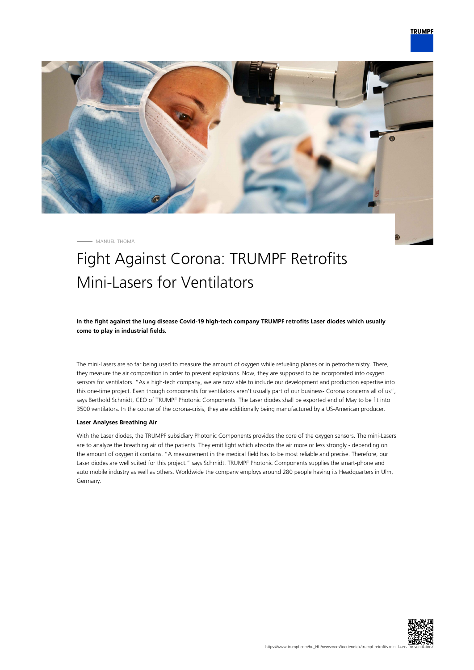

MANUEL THOMÄ

## Fight Against Corona: TRUMPF Retrofits Mini-Lasers for Ventilators

**In the fight against the lung disease Covid-19 high-tech company TRUMPF retrofits Laser diodes which usually come to play in industrial fields.**

The mini-Lasers are so far being used to measure the amount of oxygen while refueling planes or in petrochemistry. There, they measure the air composition in order to prevent explosions. Now, they are supposed to be incorporated into oxygen sensors for ventilators. "As a high-tech company, we are now able to include our development and production expertise into this one-time project. Even though components for ventilators aren't usually part of our business- Corona concerns all of us", says Berthold Schmidt, CEO of TRUMPF Photonic Components. The Laser diodes shall be exported end of May to be fit into 3500 ventilators. In the course of the corona-crisis, they are additionally being manufactured by a US-American producer.

## **Laser Analyses Breathing Air**

With the Laser diodes, the TRUMPF subsidiary Photonic Components provides the core of the oxygen sensors. The mini-Lasers are to analyze the breathing air of the patients. They emit light which absorbs the air more or less strongly - depending on the amount of oxygen it contains. "A measurement in the medical field has to be most reliable and precise. Therefore, our Laser diodes are well suited for this project." says Schmidt. TRUMPF Photonic Components supplies the smart-phone and auto mobile industry as well as others. Worldwide the company employs around 280 people having its Headquarters in Ulm, Germany.